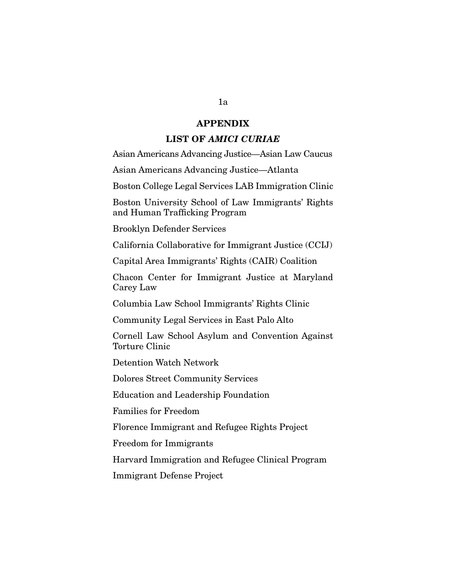## **APPENDIX**

## **LIST OF** *AMICI CURIAE*

Asian Americans Advancing Justice—Asian Law Caucus

Asian Americans Advancing Justice—Atlanta

Boston College Legal Services LAB Immigration Clinic

Boston University School of Law Immigrants' Rights and Human Trafficking Program

Brooklyn Defender Services

California Collaborative for Immigrant Justice (CCIJ)

Capital Area Immigrants' Rights (CAIR) Coalition

Chacon Center for Immigrant Justice at Maryland Carey Law

Columbia Law School Immigrants' Rights Clinic

Community Legal Services in East Palo Alto

Cornell Law School Asylum and Convention Against Torture Clinic

Detention Watch Network

Dolores Street Community Services

Education and Leadership Foundation

Families for Freedom

Florence Immigrant and Refugee Rights Project

Freedom for Immigrants

Harvard Immigration and Refugee Clinical Program

Immigrant Defense Project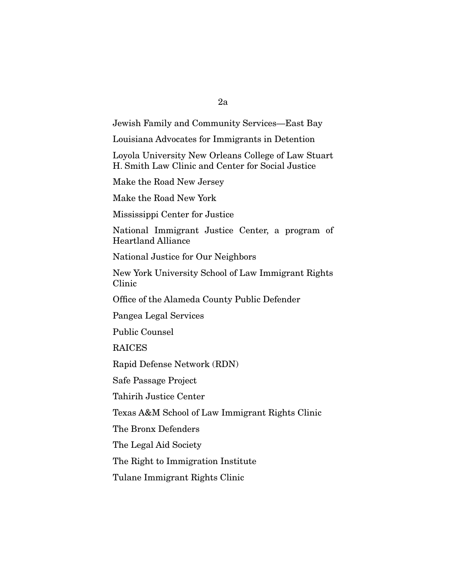## 2a

Jewish Family and Community Services—East Bay

Louisiana Advocates for Immigrants in Detention

Loyola University New Orleans College of Law Stuart H. Smith Law Clinic and Center for Social Justice

Make the Road New Jersey

Make the Road New York

Mississippi Center for Justice

National Immigrant Justice Center, a program of Heartland Alliance

National Justice for Our Neighbors

New York University School of Law Immigrant Rights Clinic

Office of the Alameda County Public Defender

Pangea Legal Services

Public Counsel

RAICES

Rapid Defense Network (RDN)

Safe Passage Project

Tahirih Justice Center

Texas A&M School of Law Immigrant Rights Clinic

The Bronx Defenders

The Legal Aid Society

The Right to Immigration Institute

Tulane Immigrant Rights Clinic